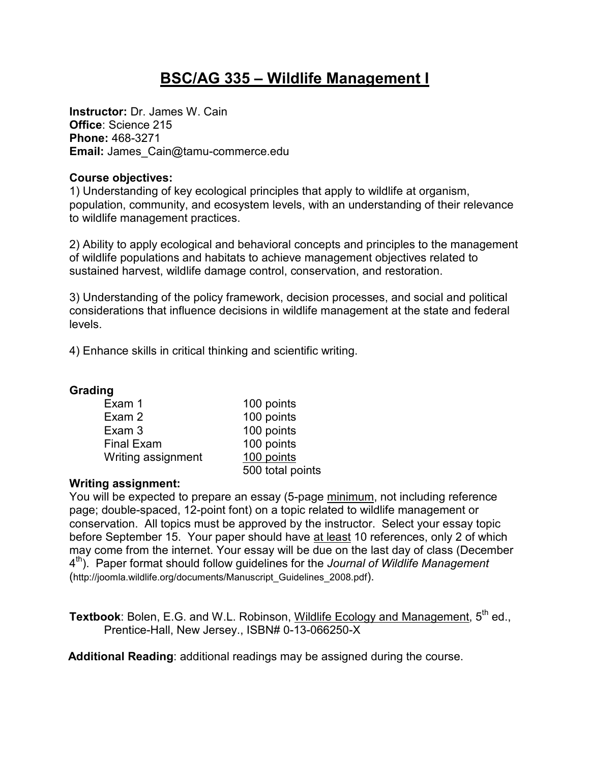# **BSC/AG 335 – Wildlife Management I**

**Instructor:** Dr. James W. Cain **Office**: Science 215 **Phone:** 468-3271 **Email:** James\_Cain@tamu-commerce.edu

## **Course objectives:**

1) Understanding of key ecological principles that apply to wildlife at organism, population, community, and ecosystem levels, with an understanding of their relevance to wildlife management practices.

2) Ability to apply ecological and behavioral concepts and principles to the management of wildlife populations and habitats to achieve management objectives related to sustained harvest, wildlife damage control, conservation, and restoration.

3) Understanding of the policy framework, decision processes, and social and political considerations that influence decisions in wildlife management at the state and federal levels.

4) Enhance skills in critical thinking and scientific writing.

## **Grading**

| Exam 1             | 100 points       |
|--------------------|------------------|
| Exam 2             | 100 points       |
| Exam 3             | 100 points       |
| <b>Final Exam</b>  | 100 points       |
| Writing assignment | 100 points       |
|                    | 500 total points |

## **Writing assignment:**

You will be expected to prepare an essay (5-page minimum, not including reference page; double-spaced, 12-point font) on a topic related to wildlife management or conservation. All topics must be approved by the instructor. Select your essay topic before September 15. Your paper should have at least 10 references, only 2 of which may come from the internet. Your essay will be due on the last day of class (December 4 th). Paper format should follow guidelines for the *Journal of Wildlife Management*  (http://joomla.wildlife.org/documents/Manuscript\_Guidelines\_2008.pdf).

**Textbook:** Bolen, E.G. and W.L. Robinson, Wildlife Ecology and Management, 5<sup>th</sup> ed., Prentice-Hall, New Jersey., ISBN# 0-13-066250-X

**Additional Reading**: additional readings may be assigned during the course.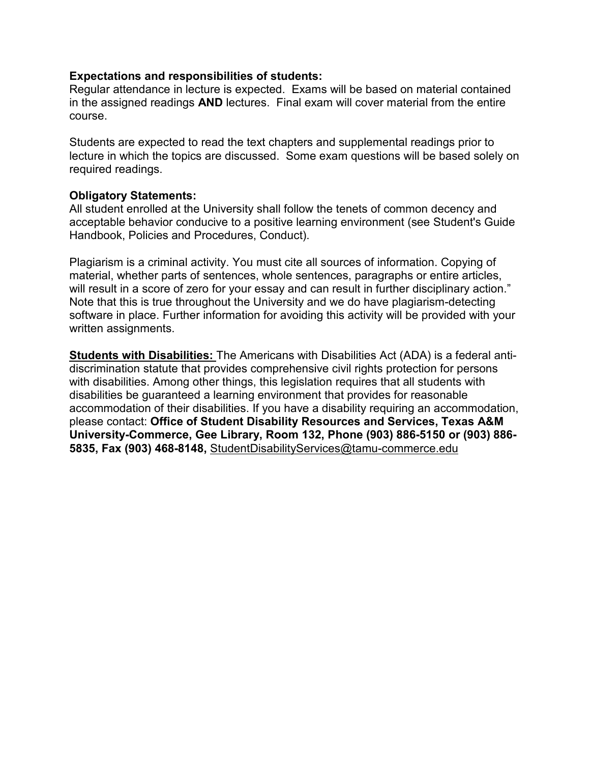#### **Expectations and responsibilities of students:**

Regular attendance in lecture is expected. Exams will be based on material contained in the assigned readings **AND** lectures. Final exam will cover material from the entire course.

Students are expected to read the text chapters and supplemental readings prior to lecture in which the topics are discussed. Some exam questions will be based solely on required readings.

#### **Obligatory Statements:**

All student enrolled at the University shall follow the tenets of common decency and acceptable behavior conducive to a positive learning environment (see Student's Guide Handbook, Policies and Procedures, Conduct).

Plagiarism is a criminal activity. You must cite all sources of information. Copying of material, whether parts of sentences, whole sentences, paragraphs or entire articles, will result in a score of zero for your essay and can result in further disciplinary action." Note that this is true throughout the University and we do have plagiarism-detecting software in place. Further information for avoiding this activity will be provided with your written assignments.

**Students with Disabilities:** The Americans with Disabilities Act (ADA) is a federal antidiscrimination statute that provides comprehensive civil rights protection for persons with disabilities. Among other things, this legislation requires that all students with disabilities be guaranteed a learning environment that provides for reasonable accommodation of their disabilities. If you have a disability requiring an accommodation, please contact: **Office of Student Disability Resources and Services, Texas A&M University-Commerce, Gee Library, Room 132, Phone (903) 886-5150 or (903) 886- 5835, Fax (903) 468-8148,** StudentDisabilityServices@tamu-commerce.edu